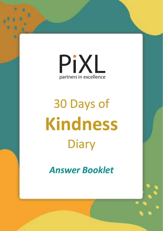

*Answer Booklet*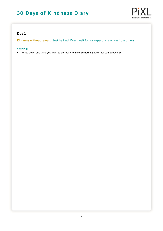

### **Day 1**

**Kindness without reward.** Just be kind. Don't wait for, or expect, a reaction from others.

#### *Challenge*

Write down one thing you want to do today to make something better for somebody else.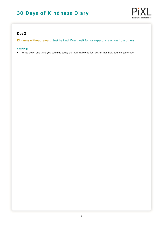

### **Day 2**

**Kindness without reward.** Just be kind. Don't wait for, or expect, a reaction from others.

#### *Challenge*

Write down one thing you could do today that will make you feel better than how you felt yesterday.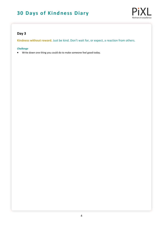

### **Day 3**

**Kindness without reward.** Just be kind. Don't wait for, or expect, a reaction from others.

#### *Challenge*

Write down one thing you could do to make someone feel good today.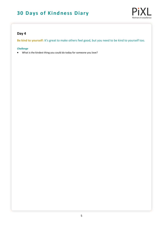

### **Day 4**

**Be kind to yourself:** It's great to make others feel good, but you need to be kind to yourself too.

#### *Challenge*

What is the kindest thing you could do today for someone you love?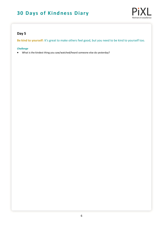

### **Day 5**

**Be kind to yourself:** It's great to make others feel good, but you need to be kind to yourself too.

#### *Challenge*

What is the kindest thing you saw/watched/heard someone else do yesterday?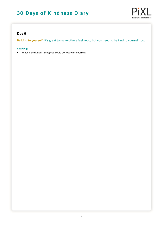

### **Day 6**

**Be kind to yourself:** It's great to make others feel good, but you need to be kind to yourself too.

#### *Challenge*

What is the kindest thing you could do today for yourself?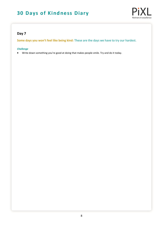

### **Day 7**

**Some days you won't feel like being kind:** These are the days we have to try our hardest.

#### *Challenge*

Write down something you're good at doing that makes people smile. Try and do it today.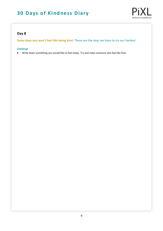

### **Day 8**

**Some days you won't feel like being kind:** These are the days we have to try our hardest.

#### *Challenge*

Write down something you would like to feel today. Try and make someone else feel like that.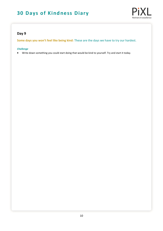

### **Day 9**

**Some days you won't feel like being kind:** These are the days we have to try our hardest.

#### *Challenge*

Write down something you could start doing that would be kind to yourself. Try and start it today.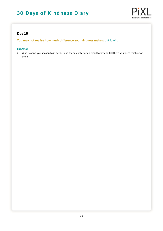

### **Day 10**

**You may not realise how much difference your kindness makes:** but it will.

#### *Challenge*

 Who haven't you spoken to in ages? Send them a letter or an email today and tell them you were thinking of them.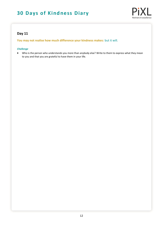

### **Day 11**

**You may not realise how much difference your kindness makes:** but it will.

#### *Challenge*

 Who is the person who understands you more than anybody else? Write to them to express what they mean to you and that you are grateful to have them in your life.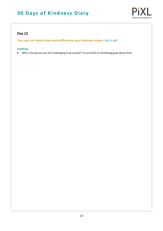

### **Day 12**

**You may not realise how much difference your kindness makes:** but it will.

### *Challenge*

Who is the person you find challenging to be around? Try and think of something good about them.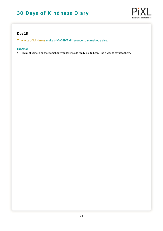

### **Day 13**

**Tiny acts of kindness** make a MASSIVE difference to somebody else.

#### *Challenge*

Think of something that somebody you love would really like to hear. Find a way to say it to them.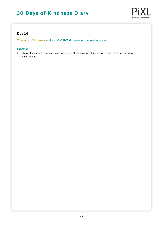

### **Day 14**

**Tiny acts of kindness** make a MASSIVE difference to somebody else.

#### *Challenge*

 Think of something that you have but you don't use anymore. Find a way to give it to someone who might like it.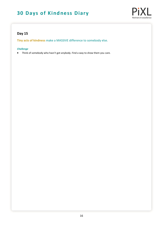

### **Day 15**

**Tiny acts of kindness** make a MASSIVE difference to somebody else.

#### *Challenge*

Think of somebody who hasn't got anybody. Find a way to show them you care.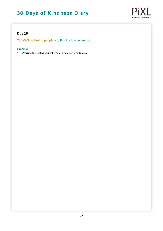

## **Day 16**

**You CAN be kind to people** you find hard to be around.

#### *Challenge*

Describe the feeling you get when someone is kind to you.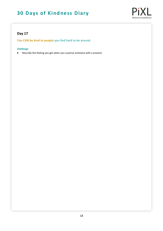

### **Day 17**

**You CAN be kind to people** you find hard to be around.

#### *Challenge*

Describe the feeling you get when you surprise someone with a present.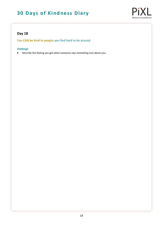

### **Day 18**

**You CAN be kind to people** you find hard to be around.

#### *Challenge*

Describe the feeling you get when someone says something nice about you.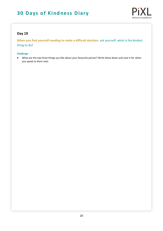

### **Day 19**

**When you find yourself needing to make a difficult decision,** ask yourself: what is the kindest thing to do?

#### *Challenge*

 What are the top three things you like about your favourite person? Write these down and save it for when you speak to them next.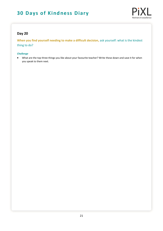

### **Day 20**

**When you find yourself needing to make a difficult decision,** ask yourself: what is the kindest thing to do?

#### *Challenge*

 What are the top three things you like about your favourite teacher? Write these down and save it for when you speak to them next.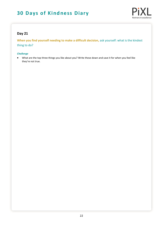

### **Day 21**

**When you find yourself needing to make a difficult decision,** ask yourself: what is the kindest thing to do?

#### *Challenge*

 What are the top three things you like about you? Write these down and save it for when you feel like they're not true.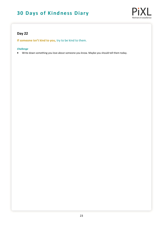

### **Day 22**

**If someone isn't kind to you,** try to be kind to them.

#### *Challenge*

Write down something you love about someone you know. Maybe you should tell them today.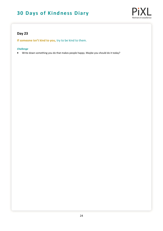

### **Day 23**

**If someone isn't kind to you,** try to be kind to them.

#### *Challenge*

Write down something you do that makes people happy. Maybe you should do it today?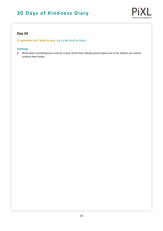

### **Day 24**

**If someone isn't kind to you,** try to be kind to them.

#### *Challenge*

 Write down something you could do in your home that nobody would expect you to do. Maybe you should surprise them today.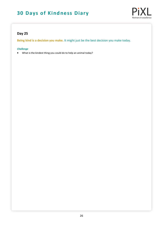

### **Day 25**

**Being kind is a decision you make.** It might just be the best decision you make today.

#### *Challenge*

What is the kindest thing you could do to help an animal today?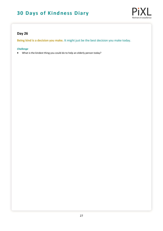

### **Day 26**

**Being kind is a decision you make.** It might just be the best decision you make today.

#### *Challenge*

What is the kindest thing you could do to help an elderly person today?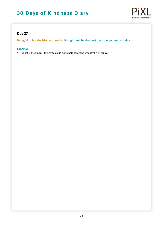

### **Day 27**

**Being kind is a decision you make.** It might just be the best decision you make today.

#### *Challenge*

What is the kindest thing you could do to help someone who isn't well today?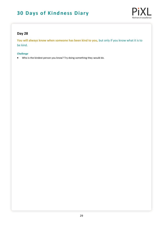

### **Day 28**

You will always know when someone has been kind to you, but only if you know what it is to be kind.

#### *Challenge*

Who is the kindest person you know? Try doing something they would do.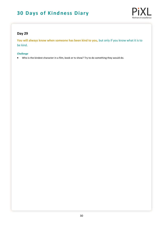

### **Day 29**

You will always know when someone has been kind to you, but only if you know what it is to be kind.

#### *Challenge*

Who is the kindest character in a film, book or tv show? Try to do something they would do.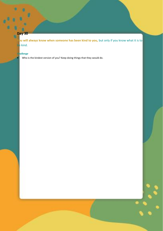### **Day 30**

o

**Du will always know when someone has been kind to you,** but only if you know what it is to be kind.

 $\ddot{\phantom{0}}$ 

#### *Challenge*

Who is the kindest version of you? Keep doing things that they would do.

**30 Days of Kindness Diary**